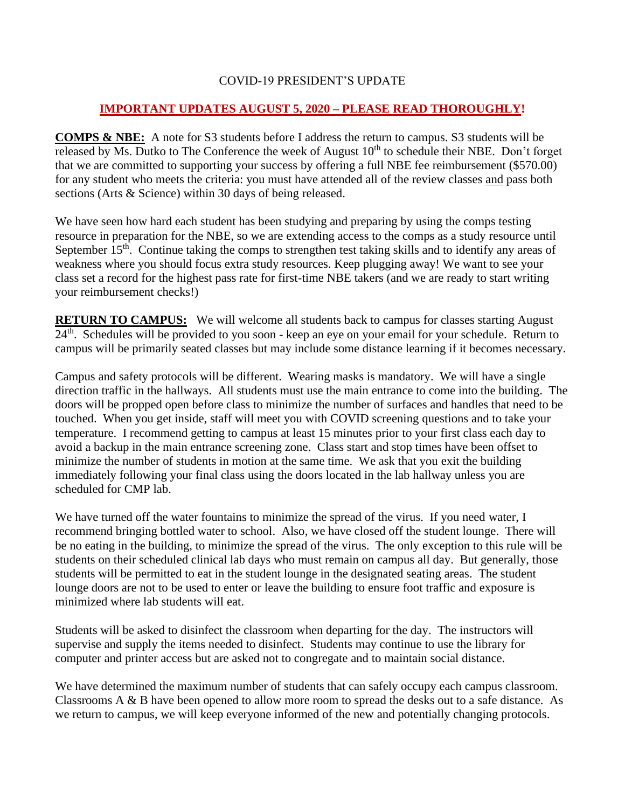## COVID-19 PRESIDENT'S UPDATE

## **IMPORTANT UPDATES AUGUST 5, 2020 – PLEASE READ THOROUGHLY!**

**COMPS & NBE:** A note for S3 students before I address the return to campus. S3 students will be released by Ms. Dutko to The Conference the week of August 10<sup>th</sup> to schedule their NBE. Don't forget that we are committed to supporting your success by offering a full NBE fee reimbursement (\$570.00) for any student who meets the criteria: you must have attended all of the review classes and pass both sections (Arts & Science) within 30 days of being released.

We have seen how hard each student has been studying and preparing by using the comps testing resource in preparation for the NBE, so we are extending access to the comps as a study resource until September  $15<sup>th</sup>$ . Continue taking the comps to strengthen test taking skills and to identify any areas of weakness where you should focus extra study resources. Keep plugging away! We want to see your class set a record for the highest pass rate for first-time NBE takers (and we are ready to start writing your reimbursement checks!)

**RETURN TO CAMPUS:** We will welcome all students back to campus for classes starting August 24<sup>th</sup>. Schedules will be provided to you soon - keep an eye on your email for your schedule. Return to campus will be primarily seated classes but may include some distance learning if it becomes necessary.

Campus and safety protocols will be different. Wearing masks is mandatory. We will have a single direction traffic in the hallways. All students must use the main entrance to come into the building. The doors will be propped open before class to minimize the number of surfaces and handles that need to be touched. When you get inside, staff will meet you with COVID screening questions and to take your temperature. I recommend getting to campus at least 15 minutes prior to your first class each day to avoid a backup in the main entrance screening zone. Class start and stop times have been offset to minimize the number of students in motion at the same time. We ask that you exit the building immediately following your final class using the doors located in the lab hallway unless you are scheduled for CMP lab.

We have turned off the water fountains to minimize the spread of the virus. If you need water, I recommend bringing bottled water to school. Also, we have closed off the student lounge. There will be no eating in the building, to minimize the spread of the virus. The only exception to this rule will be students on their scheduled clinical lab days who must remain on campus all day. But generally, those students will be permitted to eat in the student lounge in the designated seating areas. The student lounge doors are not to be used to enter or leave the building to ensure foot traffic and exposure is minimized where lab students will eat.

Students will be asked to disinfect the classroom when departing for the day. The instructors will supervise and supply the items needed to disinfect. Students may continue to use the library for computer and printer access but are asked not to congregate and to maintain social distance.

We have determined the maximum number of students that can safely occupy each campus classroom. Classrooms A & B have been opened to allow more room to spread the desks out to a safe distance. As we return to campus, we will keep everyone informed of the new and potentially changing protocols.